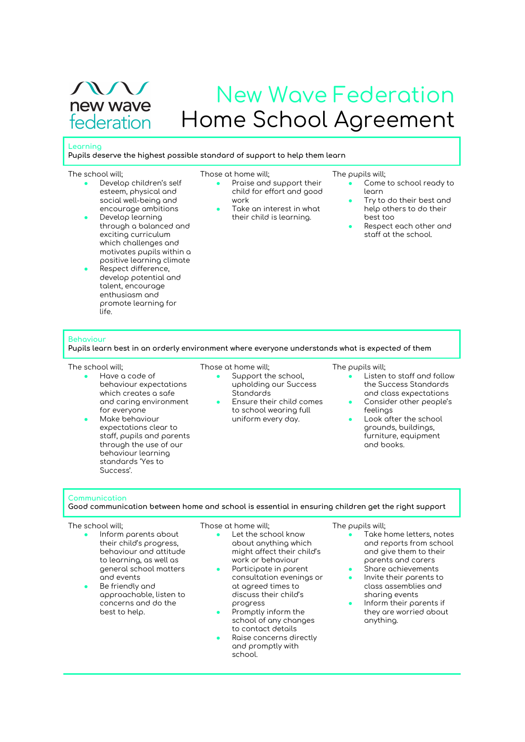$\sqrt{11}$ new wave federation

# New Wave Federation Home School Agreement

### **Learning**

**Pupils deserve the highest possible standard of support to help them learn**

#### The school will;

- Develop children's self esteem, physical and social well-being and encourage ambitions
- Develop learning through a balanced and exciting curriculum which challenges and motivates pupils within a positive learning climate
- Respect difference, develop potential and talent, encourage enthusiasm and promote learning for life.

#### Those at home will;

- Praise and support their child for effort and good work Take an interest in what
	- their child is learning.

#### The pupils will;

- Come to school ready to learn
	- Try to do their best and help others to do their best too
- Respect each other and staff at the school.

#### **Behaviour**

**Pupils learn best in an orderly environment where everyone understands what is expected of them**

#### The school will;

- Have a code of behaviour expectations which creates a safe and caring environment for everyone
- Make behaviour expectations clear to staff, pupils and parents through the use of our behaviour learning standards 'Yes to Success'.

# Those at home will;

- Support the school, upholding our Success Standards
- Ensure their child comes to school wearing full uniform every day.

#### The pupils will;

- Listen to staff and follow the Success Standards and class expectations
- Consider other people's feelings
- Look after the school grounds, buildings, furniture, equipment and books.

#### **Communication**

**Good communication between home and school is essential in ensuring children get the right support**

#### The school will;

- Inform parents about their child's progress, behaviour and attitude to learning, as well as general school matters and events
- Be friendly and approachable, listen to concerns and do the best to help.

Those at home will;

- Let the school know about anything which might affect their child's work or behaviour
- $\bullet$  Participate in parent consultation evenings or at agreed times to discuss their child's progress
- Promptly inform the school of any changes to contact details
- Raise concerns directly and promptly with school.

# The pupils will;

- Take home letters, notes and reports from school and give them to their parents and carers
- Share achievements
- Invite their parents to class assemblies and sharing events
- Inform their parents if they are worried about anything.